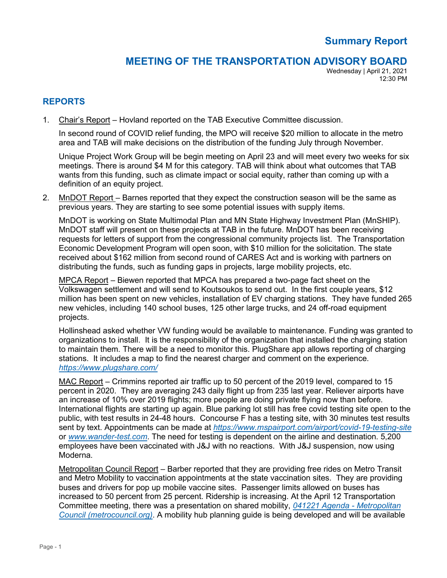# **Summary Report**

## **MEETING OF THE TRANSPORTATION ADVISORY BOARD**

Wednesday | April 21, 2021 12:30 PM

## **REPORTS**

1. Chair's Report – Hovland reported on the TAB Executive Committee discussion.

In second round of COVID relief funding, the MPO will receive \$20 million to allocate in the metro area and TAB will make decisions on the distribution of the funding July through November.

Unique Project Work Group will be begin meeting on April 23 and will meet every two weeks for six meetings. There is around \$4 M for this category. TAB will think about what outcomes that TAB wants from this funding, such as climate impact or social equity, rather than coming up with a definition of an equity project.

2. MnDOT Report – Barnes reported that they expect the construction season will be the same as previous years. They are starting to see some potential issues with supply items.

MnDOT is working on State Multimodal Plan and MN State Highway Investment Plan (MnSHIP). MnDOT staff will present on these projects at TAB in the future. MnDOT has been receiving requests for letters of support from the congressional community projects list. The Transportation Economic Development Program will open soon, with \$10 million for the solicitation. The state received about \$162 million from second round of CARES Act and is working with partners on distributing the funds, such as funding gaps in projects, large mobility projects, etc.

MPCA Report – Biewen reported that MPCA has prepared a two-page fact sheet on the Volkswagen settlement and will send to Koutsoukos to send out. In the first couple years, \$12 million has been spent on new vehicles, installation of EV charging stations. They have funded 265 new vehicles, including 140 school buses, 125 other large trucks, and 24 off-road equipment projects.

Hollinshead asked whether VW funding would be available to maintenance. Funding was granted to organizations to install. It is the responsibility of the organization that installed the charging station to maintain them. There will be a need to monitor this. PlugShare app allows reporting of charging stations. It includes a map to find the nearest charger and comment on the experience. *<https://www.plugshare.com/>*

MAC Report – Crimmins reported air traffic up to 50 percent of the 2019 level, compared to 15 percent in 2020. They are averaging 243 daily flight up from 235 last year. Reliever airports have an increase of 10% over 2019 flights; more people are doing private flying now than before. International flights are starting up again. Blue parking lot still has free covid testing site open to the public, with test results in 24-48 hours. Concourse F has a testing site, with 30 minutes test results sent by text. Appointments can be made at *<https://www.mspairport.com/airport/covid-19-testing-site>* or *[www.wander-test.com](http://www.wander-test.com/)*. The need for testing is dependent on the airline and destination. 5,200 employees have been vaccinated with J&J with no reactions. With J&J suspension, now using Moderna.

Metropolitan Council Report – Barber reported that they are providing free rides on Metro Transit and Metro Mobility to vaccination appointments at the state vaccination sites. They are providing buses and drivers for pop up mobile vaccine sites. Passenger limits allowed on buses has increased to 50 percent from 25 percent. Ridership is increasing. At the April 12 Transportation Committee meeting, there was a presentation on shared mobility, *[041221 Agenda -](https://metrocouncil.org/getdoc/387daeb9-0e9b-481b-b7e5-d345b396040f/Agenda.aspx) Metropolitan [Council \(metrocouncil.org\)](https://metrocouncil.org/getdoc/387daeb9-0e9b-481b-b7e5-d345b396040f/Agenda.aspx)*. A mobility hub planning guide is being developed and will be available